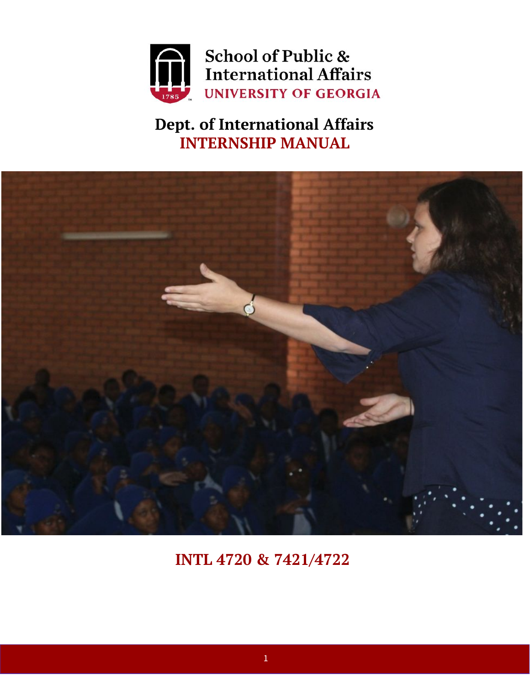

**Dept. of International Affairs INTERNSHIP MANUAL**



**INTL 4720 & 7421/4722**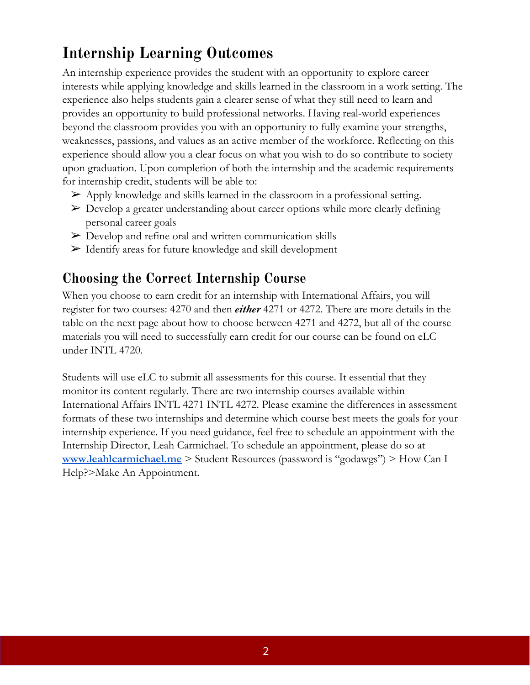## **Internship Learning Outcomes**

An internship experience provides the student with an opportunity to explore career interests while applying knowledge and skills learned in the classroom in a work setting. The experience also helps students gain a clearer sense of what they still need to learn and provides an opportunity to build professional networks. Having real-world experiences beyond the classroom provides you with an opportunity to fully examine your strengths, weaknesses, passions, and values as an active member of the workforce. Reflecting on this experience should allow you a clear focus on what you wish to do so contribute to society upon graduation. Upon completion of both the internship and the academic requirements for internship credit, students will be able to:

- $\triangleright$  Apply knowledge and skills learned in the classroom in a professional setting.
- ➢ Develop a greater understanding about career options while more clearly defining personal career goals
- $\triangleright$  Develop and refine oral and written communication skills
- ➢ Identify areas for future knowledge and skill development

## **Choosing the Correct Internship Course**

When you choose to earn credit for an internship with International Affairs, you will register for two courses: 4270 and then *either* 4271 or 4272. There are more details in the table on the next page about how to choose between 4271 and 4272, but all of the course materials you will need to successfully earn credit for our course can be found on eLC under INTL 4720.

Students will use eLC to submit all assessments for this course. It essential that they monitor its content regularly. There are two internship courses available within International Affairs INTL 4271 INTL 4272. Please examine the differences in assessment formats of these two internships and determine which course best meets the goals for your internship experience. If you need guidance, feel free to schedule an appointment with the Internship Director, Leah Carmichael. To schedule an appointment, please do so at **[www.leahlcarmichael.me](http://www.leahlcarmichael.me/)** > Student Resources (password is "godawgs") > How Can I Help?>Make An Appointment.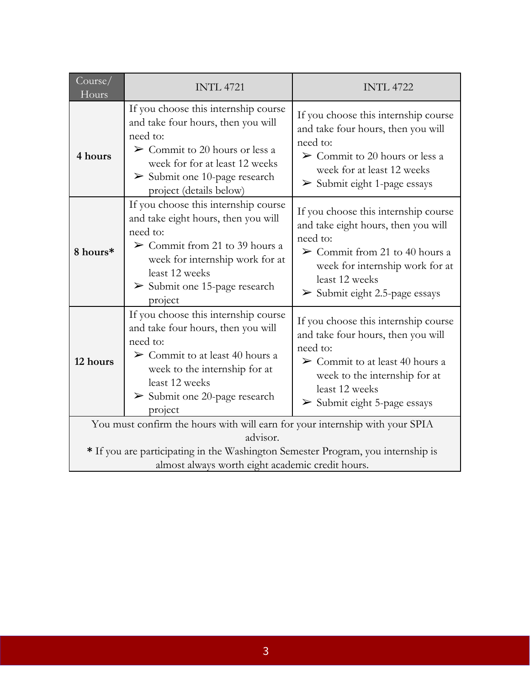| Course/<br>Hours                                                                                                                                 | <b>INTL 4721</b>                                                                                                                                                                                                                                         | <b>INTL 4722</b>                                                                                                                                                                                                                               |
|--------------------------------------------------------------------------------------------------------------------------------------------------|----------------------------------------------------------------------------------------------------------------------------------------------------------------------------------------------------------------------------------------------------------|------------------------------------------------------------------------------------------------------------------------------------------------------------------------------------------------------------------------------------------------|
| 4 hours                                                                                                                                          | If you choose this internship course<br>and take four hours, then you will<br>need to:<br>$\triangleright$ Commit to 20 hours or less a<br>week for for at least 12 weeks<br>$\triangleright$ Submit one 10-page research<br>project (details below)     | If you choose this internship course<br>and take four hours, then you will<br>need to:<br>$\triangleright$ Commit to 20 hours or less a<br>week for at least 12 weeks<br>$\triangleright$ Submit eight 1-page essays                           |
| 8 hours*                                                                                                                                         | If you choose this internship course<br>and take eight hours, then you will<br>need to:<br>$\triangleright$ Commit from 21 to 39 hours a<br>week for internship work for at<br>least 12 weeks<br>$\triangleright$ Submit one 15-page research<br>project | If you choose this internship course<br>and take eight hours, then you will<br>need to:<br>$\triangleright$ Commit from 21 to 40 hours a<br>week for internship work for at<br>least 12 weeks<br>$\triangleright$ Submit eight 2.5-page essays |
| 12 hours                                                                                                                                         | If you choose this internship course<br>and take four hours, then you will<br>need to:<br>$\triangleright$ Commit to at least 40 hours a<br>week to the internship for at<br>least 12 weeks<br>$\triangleright$ Submit one 20-page research<br>project   | If you choose this internship course<br>and take four hours, then you will<br>need to:<br>$\triangleright$ Commit to at least 40 hours a<br>week to the internship for at<br>least 12 weeks<br>$\triangleright$ Submit eight 5-page essays     |
| You must confirm the hours with will earn for your internship with your SPIA                                                                     |                                                                                                                                                                                                                                                          |                                                                                                                                                                                                                                                |
| advisor.<br>* If you are participating in the Washington Semester Program, you internship is<br>almost always worth eight academic credit hours. |                                                                                                                                                                                                                                                          |                                                                                                                                                                                                                                                |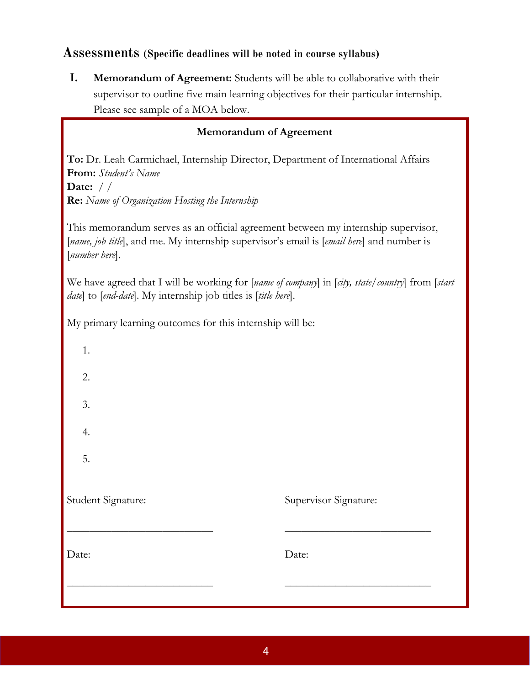## **Assessments (Specific deadlines will be noted in course syllabus)**

**I. Memorandum of Agreement:** Students will be able to collaborative with their supervisor to outline five main learning objectives for their particular internship. Please see sample of a MOA below.

## **Memorandum of Agreement**

**To:** Dr. Leah Carmichael, Internship Director, Department of International Affairs **From:** *Student's Name* **Date:** */ /* **Re:** *Name of Organization Hosting the Internship*

This memorandum serves as an official agreement between my internship supervisor, [*name, job title*], and me. My internship supervisor's email is [*email here*] and number is [*number here*].

We have agreed that I will be working for [*name of company*] in [*city, state/country*] from [*start date*] to [*end-date*]. My internship job titles is [*title here*].

My primary learning outcomes for this internship will be:

| Date:              | Date:                 |
|--------------------|-----------------------|
| Student Signature: | Supervisor Signature: |
| 5.                 |                       |
| 4.                 |                       |
| 3.                 |                       |
| 2.                 |                       |
| 1.                 |                       |